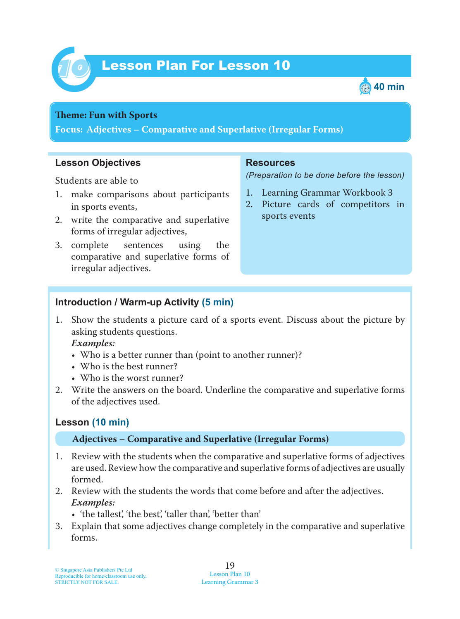



#### **Theme: Fun with Sports**

**Focus: Adjectives – Comparative and Superlative (Irregular Forms)**

### **Lesson Objectives**

Students are able to

- 1. make comparisons about participants in sports events,
- 2. write the comparative and superlative forms of irregular adjectives,
- 3. complete sentences using the comparative and superlative forms of irregular adjectives.

#### **Resources**

*(Preparation to be done before the lesson)*

- 1. Learning Grammar Workbook 3
- 2. Picture cards of competitors in sports events

### **Introduction / Warm-up Activity (5 min)**

1. Show the students a picture card of a sports event. Discuss about the picture by asking students questions.

 *Examples:*

- Who is a better runner than (point to another runner)?
- Who is the best runner?
- Who is the worst runner?
- 2. Write the answers on the board. Underline the comparative and superlative forms of the adjectives used.

### **Lesson (10 min)**

### **Adjectives – Comparative and Superlative (Irregular Forms)**

- 1. Review with the students when the comparative and superlative forms of adjectives are used. Review how the comparative and superlative forms of adjectives are usually formed.
- 2. Review with the students the words that come before and after the adjectives.  *Examples:*
	- 'the tallest', 'the best', 'taller than', 'better than'
- 3. Explain that some adjectives change completely in the comparative and superlative forms.